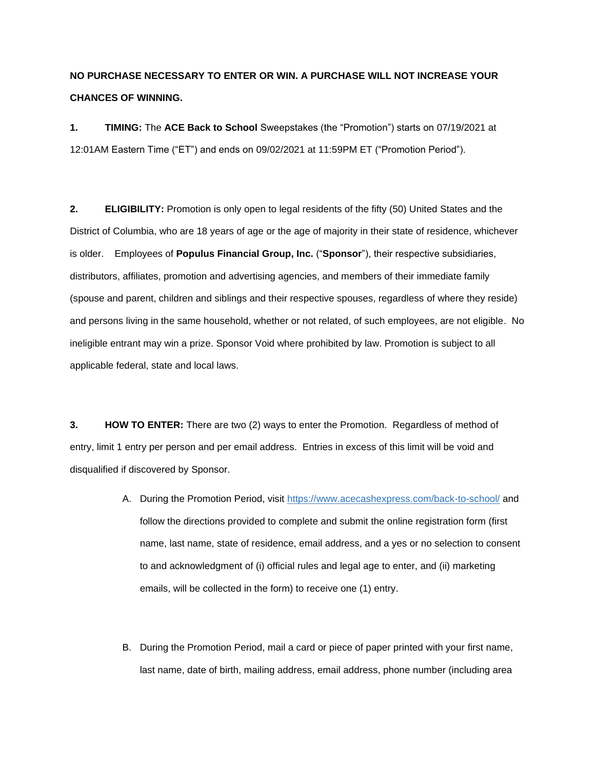## **NO PURCHASE NECESSARY TO ENTER OR WIN. A PURCHASE WILL NOT INCREASE YOUR CHANCES OF WINNING.**

**1. TIMING:** The **ACE Back to School** Sweepstakes (the "Promotion") starts on 07/19/2021 at 12:01AM Eastern Time ("ET") and ends on 09/02/2021 at 11:59PM ET ("Promotion Period").

**2. ELIGIBILITY:** Promotion is only open to legal residents of the fifty (50) United States and the District of Columbia, who are 18 years of age or the age of majority in their state of residence, whichever is older. Employees of **Populus Financial Group, Inc.** ("**Sponsor**"), their respective subsidiaries, distributors, affiliates, promotion and advertising agencies, and members of their immediate family (spouse and parent, children and siblings and their respective spouses, regardless of where they reside) and persons living in the same household, whether or not related, of such employees, are not eligible. No ineligible entrant may win a prize. Sponsor Void where prohibited by law. Promotion is subject to all applicable federal, state and local laws.

**3. HOW TO ENTER:** There are two (2) ways to enter the Promotion. Regardless of method of entry, limit 1 entry per person and per email address. Entries in excess of this limit will be void and disqualified if discovered by Sponsor.

- A. During the Promotion Period, visit <https://www.acecashexpress.com/back-to-school/> and follow the directions provided to complete and submit the online registration form (first name, last name, state of residence, email address, and a yes or no selection to consent to and acknowledgment of (i) official rules and legal age to enter, and (ii) marketing emails, will be collected in the form) to receive one (1) entry.
- B. During the Promotion Period, mail a card or piece of paper printed with your first name, last name, date of birth, mailing address, email address, phone number (including area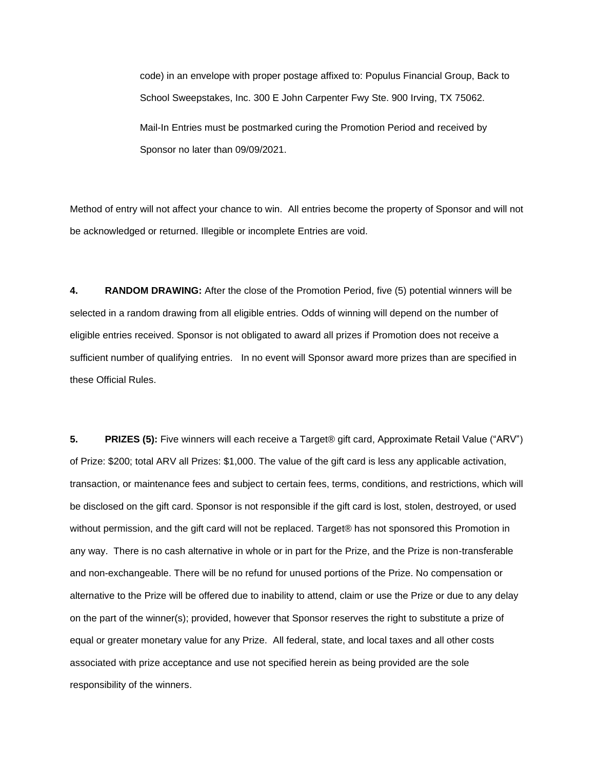code) in an envelope with proper postage affixed to: Populus Financial Group, Back to School Sweepstakes, Inc. 300 E John Carpenter Fwy Ste. 900 Irving, TX 75062. Mail-In Entries must be postmarked curing the Promotion Period and received by Sponsor no later than 09/09/2021.

Method of entry will not affect your chance to win. All entries become the property of Sponsor and will not be acknowledged or returned. Illegible or incomplete Entries are void.

**4. RANDOM DRAWING:** After the close of the Promotion Period, five (5) potential winners will be selected in a random drawing from all eligible entries. Odds of winning will depend on the number of eligible entries received. Sponsor is not obligated to award all prizes if Promotion does not receive a sufficient number of qualifying entries. In no event will Sponsor award more prizes than are specified in these Official Rules.

**5. PRIZES (5):** Five winners will each receive a Target® gift card, Approximate Retail Value ("ARV") of Prize: \$200; total ARV all Prizes: \$1,000. The value of the gift card is less any applicable activation, transaction, or maintenance fees and subject to certain fees, terms, conditions, and restrictions, which will be disclosed on the gift card. Sponsor is not responsible if the gift card is lost, stolen, destroyed, or used without permission, and the gift card will not be replaced. Target® has not sponsored this Promotion in any way. There is no cash alternative in whole or in part for the Prize, and the Prize is non-transferable and non-exchangeable. There will be no refund for unused portions of the Prize. No compensation or alternative to the Prize will be offered due to inability to attend, claim or use the Prize or due to any delay on the part of the winner(s); provided, however that Sponsor reserves the right to substitute a prize of equal or greater monetary value for any Prize. All federal, state, and local taxes and all other costs associated with prize acceptance and use not specified herein as being provided are the sole responsibility of the winners.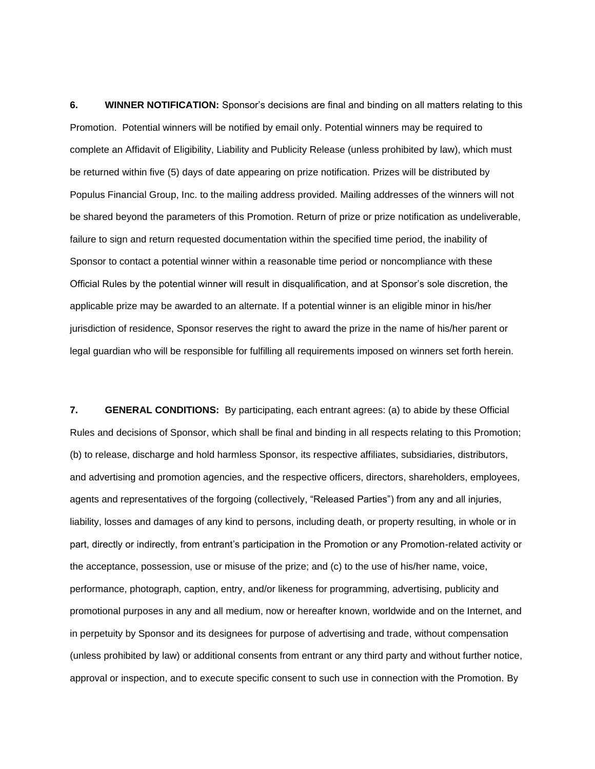**6. WINNER NOTIFICATION:** Sponsor's decisions are final and binding on all matters relating to this Promotion. Potential winners will be notified by email only. Potential winners may be required to complete an Affidavit of Eligibility, Liability and Publicity Release (unless prohibited by law), which must be returned within five (5) days of date appearing on prize notification. Prizes will be distributed by Populus Financial Group, Inc. to the mailing address provided. Mailing addresses of the winners will not be shared beyond the parameters of this Promotion. Return of prize or prize notification as undeliverable, failure to sign and return requested documentation within the specified time period, the inability of Sponsor to contact a potential winner within a reasonable time period or noncompliance with these Official Rules by the potential winner will result in disqualification, and at Sponsor's sole discretion, the applicable prize may be awarded to an alternate. If a potential winner is an eligible minor in his/her jurisdiction of residence, Sponsor reserves the right to award the prize in the name of his/her parent or legal guardian who will be responsible for fulfilling all requirements imposed on winners set forth herein.

**7. GENERAL CONDITIONS:** By participating, each entrant agrees: (a) to abide by these Official Rules and decisions of Sponsor, which shall be final and binding in all respects relating to this Promotion; (b) to release, discharge and hold harmless Sponsor, its respective affiliates, subsidiaries, distributors, and advertising and promotion agencies, and the respective officers, directors, shareholders, employees, agents and representatives of the forgoing (collectively, "Released Parties") from any and all injuries, liability, losses and damages of any kind to persons, including death, or property resulting, in whole or in part, directly or indirectly, from entrant's participation in the Promotion or any Promotion-related activity or the acceptance, possession, use or misuse of the prize; and (c) to the use of his/her name, voice, performance, photograph, caption, entry, and/or likeness for programming, advertising, publicity and promotional purposes in any and all medium, now or hereafter known, worldwide and on the Internet, and in perpetuity by Sponsor and its designees for purpose of advertising and trade, without compensation (unless prohibited by law) or additional consents from entrant or any third party and without further notice, approval or inspection, and to execute specific consent to such use in connection with the Promotion. By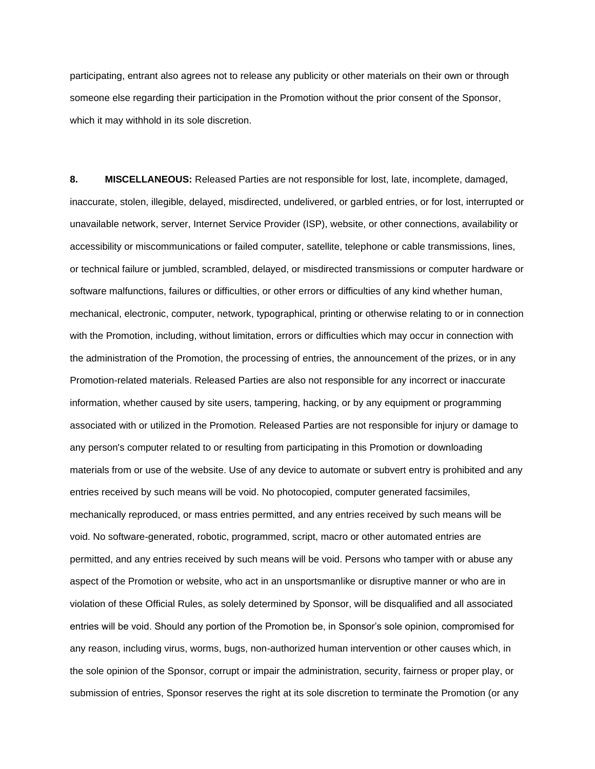participating, entrant also agrees not to release any publicity or other materials on their own or through someone else regarding their participation in the Promotion without the prior consent of the Sponsor, which it may withhold in its sole discretion.

**8. MISCELLANEOUS:** Released Parties are not responsible for lost, late, incomplete, damaged, inaccurate, stolen, illegible, delayed, misdirected, undelivered, or garbled entries, or for lost, interrupted or unavailable network, server, Internet Service Provider (ISP), website, or other connections, availability or accessibility or miscommunications or failed computer, satellite, telephone or cable transmissions, lines, or technical failure or jumbled, scrambled, delayed, or misdirected transmissions or computer hardware or software malfunctions, failures or difficulties, or other errors or difficulties of any kind whether human, mechanical, electronic, computer, network, typographical, printing or otherwise relating to or in connection with the Promotion, including, without limitation, errors or difficulties which may occur in connection with the administration of the Promotion, the processing of entries, the announcement of the prizes, or in any Promotion-related materials. Released Parties are also not responsible for any incorrect or inaccurate information, whether caused by site users, tampering, hacking, or by any equipment or programming associated with or utilized in the Promotion. Released Parties are not responsible for injury or damage to any person's computer related to or resulting from participating in this Promotion or downloading materials from or use of the website. Use of any device to automate or subvert entry is prohibited and any entries received by such means will be void. No photocopied, computer generated facsimiles, mechanically reproduced, or mass entries permitted, and any entries received by such means will be void. No software-generated, robotic, programmed, script, macro or other automated entries are permitted, and any entries received by such means will be void. Persons who tamper with or abuse any aspect of the Promotion or website, who act in an unsportsmanlike or disruptive manner or who are in violation of these Official Rules, as solely determined by Sponsor, will be disqualified and all associated entries will be void. Should any portion of the Promotion be, in Sponsor's sole opinion, compromised for any reason, including virus, worms, bugs, non-authorized human intervention or other causes which, in the sole opinion of the Sponsor, corrupt or impair the administration, security, fairness or proper play, or submission of entries, Sponsor reserves the right at its sole discretion to terminate the Promotion (or any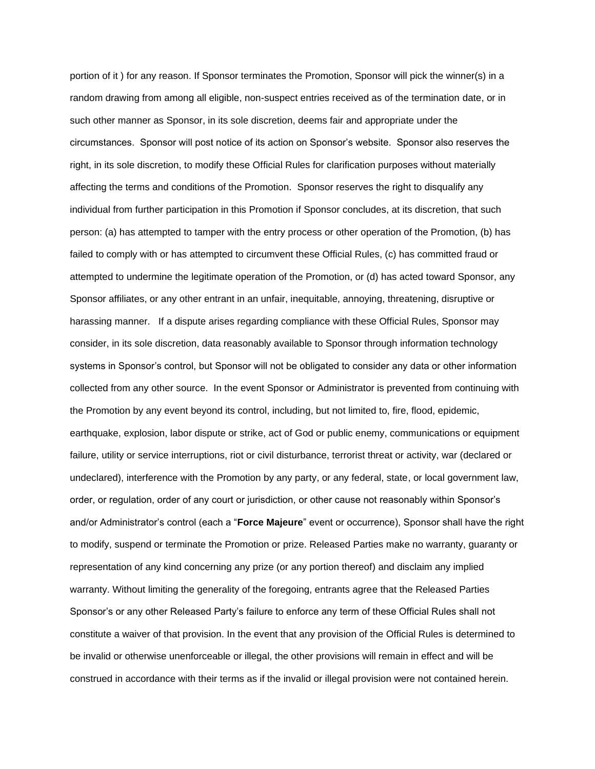portion of it ) for any reason. If Sponsor terminates the Promotion, Sponsor will pick the winner(s) in a random drawing from among all eligible, non-suspect entries received as of the termination date, or in such other manner as Sponsor, in its sole discretion, deems fair and appropriate under the circumstances. Sponsor will post notice of its action on Sponsor's website. Sponsor also reserves the right, in its sole discretion, to modify these Official Rules for clarification purposes without materially affecting the terms and conditions of the Promotion. Sponsor reserves the right to disqualify any individual from further participation in this Promotion if Sponsor concludes, at its discretion, that such person: (a) has attempted to tamper with the entry process or other operation of the Promotion, (b) has failed to comply with or has attempted to circumvent these Official Rules, (c) has committed fraud or attempted to undermine the legitimate operation of the Promotion, or (d) has acted toward Sponsor, any Sponsor affiliates, or any other entrant in an unfair, inequitable, annoying, threatening, disruptive or harassing manner. If a dispute arises regarding compliance with these Official Rules, Sponsor may consider, in its sole discretion, data reasonably available to Sponsor through information technology systems in Sponsor's control, but Sponsor will not be obligated to consider any data or other information collected from any other source. In the event Sponsor or Administrator is prevented from continuing with the Promotion by any event beyond its control, including, but not limited to, fire, flood, epidemic, earthquake, explosion, labor dispute or strike, act of God or public enemy, communications or equipment failure, utility or service interruptions, riot or civil disturbance, terrorist threat or activity, war (declared or undeclared), interference with the Promotion by any party, or any federal, state, or local government law, order, or regulation, order of any court or jurisdiction, or other cause not reasonably within Sponsor's and/or Administrator's control (each a "**Force Majeure**" event or occurrence), Sponsor shall have the right to modify, suspend or terminate the Promotion or prize. Released Parties make no warranty, guaranty or representation of any kind concerning any prize (or any portion thereof) and disclaim any implied warranty. Without limiting the generality of the foregoing, entrants agree that the Released Parties Sponsor's or any other Released Party's failure to enforce any term of these Official Rules shall not constitute a waiver of that provision. In the event that any provision of the Official Rules is determined to be invalid or otherwise unenforceable or illegal, the other provisions will remain in effect and will be construed in accordance with their terms as if the invalid or illegal provision were not contained herein.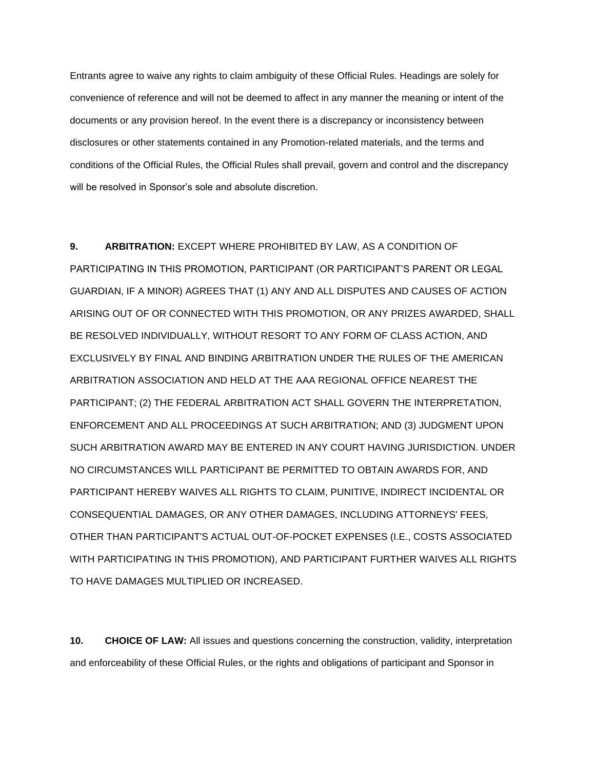Entrants agree to waive any rights to claim ambiguity of these Official Rules. Headings are solely for convenience of reference and will not be deemed to affect in any manner the meaning or intent of the documents or any provision hereof. In the event there is a discrepancy or inconsistency between disclosures or other statements contained in any Promotion-related materials, and the terms and conditions of the Official Rules, the Official Rules shall prevail, govern and control and the discrepancy will be resolved in Sponsor's sole and absolute discretion.

## **9. ARBITRATION:** EXCEPT WHERE PROHIBITED BY LAW, AS A CONDITION OF

PARTICIPATING IN THIS PROMOTION, PARTICIPANT (OR PARTICIPANT'S PARENT OR LEGAL GUARDIAN, IF A MINOR) AGREES THAT (1) ANY AND ALL DISPUTES AND CAUSES OF ACTION ARISING OUT OF OR CONNECTED WITH THIS PROMOTION, OR ANY PRIZES AWARDED, SHALL BE RESOLVED INDIVIDUALLY, WITHOUT RESORT TO ANY FORM OF CLASS ACTION, AND EXCLUSIVELY BY FINAL AND BINDING ARBITRATION UNDER THE RULES OF THE AMERICAN ARBITRATION ASSOCIATION AND HELD AT THE AAA REGIONAL OFFICE NEAREST THE PARTICIPANT; (2) THE FEDERAL ARBITRATION ACT SHALL GOVERN THE INTERPRETATION, ENFORCEMENT AND ALL PROCEEDINGS AT SUCH ARBITRATION; AND (3) JUDGMENT UPON SUCH ARBITRATION AWARD MAY BE ENTERED IN ANY COURT HAVING JURISDICTION. UNDER NO CIRCUMSTANCES WILL PARTICIPANT BE PERMITTED TO OBTAIN AWARDS FOR, AND PARTICIPANT HEREBY WAIVES ALL RIGHTS TO CLAIM, PUNITIVE, INDIRECT INCIDENTAL OR CONSEQUENTIAL DAMAGES, OR ANY OTHER DAMAGES, INCLUDING ATTORNEYS' FEES, OTHER THAN PARTICIPANT'S ACTUAL OUT-OF-POCKET EXPENSES (I.E., COSTS ASSOCIATED WITH PARTICIPATING IN THIS PROMOTION), AND PARTICIPANT FURTHER WAIVES ALL RIGHTS TO HAVE DAMAGES MULTIPLIED OR INCREASED.

**10. CHOICE OF LAW:** All issues and questions concerning the construction, validity, interpretation and enforceability of these Official Rules, or the rights and obligations of participant and Sponsor in